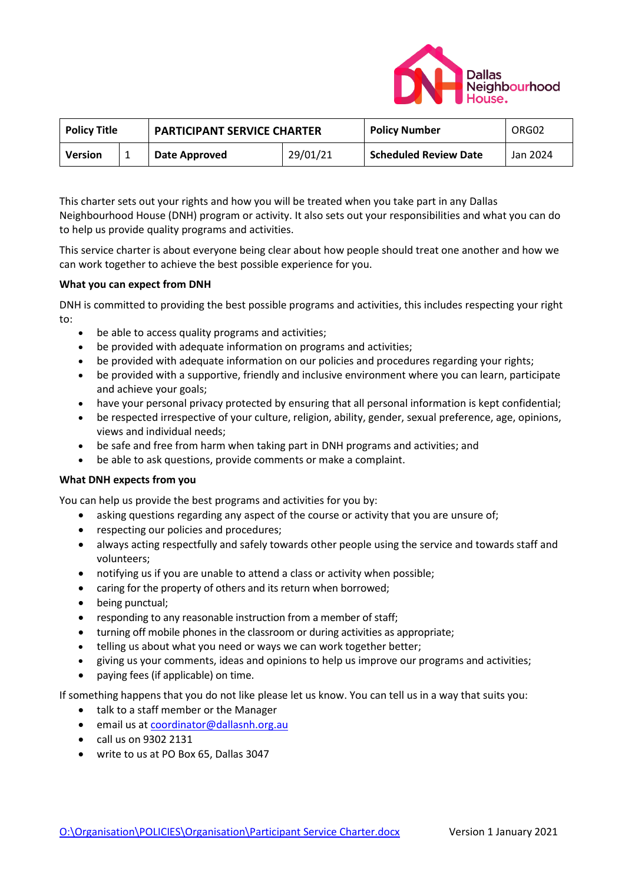

| <b>Policy Title</b> |  | <b>PARTICIPANT SERVICE CHARTER</b> |          | <b>Policy Number</b>         | ORG02    |
|---------------------|--|------------------------------------|----------|------------------------------|----------|
| Version             |  | Date Approved                      | 29/01/21 | <b>Scheduled Review Date</b> | Jan 2024 |

This charter sets out your rights and how you will be treated when you take part in any Dallas Neighbourhood House (DNH) program or activity. It also sets out your responsibilities and what you can do to help us provide quality programs and activities.

This service charter is about everyone being clear about how people should treat one another and how we can work together to achieve the best possible experience for you.

## **What you can expect from DNH**

DNH is committed to providing the best possible programs and activities, this includes respecting your right to:

- be able to access quality programs and activities;
- be provided with adequate information on programs and activities;
- be provided with adequate information on our policies and procedures regarding your rights;
- be provided with a supportive, friendly and inclusive environment where you can learn, participate and achieve your goals;
- have your personal privacy protected by ensuring that all personal information is kept confidential;
- be respected irrespective of your culture, religion, ability, gender, sexual preference, age, opinions, views and individual needs;
- be safe and free from harm when taking part in DNH programs and activities; and
- be able to ask questions, provide comments or make a complaint.

## **What DNH expects from you**

You can help us provide the best programs and activities for you by:

- asking questions regarding any aspect of the course or activity that you are unsure of;
- respecting our policies and procedures;
- always acting respectfully and safely towards other people using the service and towards staff and volunteers;
- notifying us if you are unable to attend a class or activity when possible;
- caring for the property of others and its return when borrowed;
- being punctual;
- responding to any reasonable instruction from a member of staff;
- turning off mobile phones in the classroom or during activities as appropriate;
- telling us about what you need or ways we can work together better;
- giving us your comments, ideas and opinions to help us improve our programs and activities;
- paying fees (if applicable) on time.

If something happens that you do not like please let us know. You can tell us in a way that suits you:

- talk to a staff member or the Manager
- email us at [coordinator@dallasnh.org.au](mailto:coordinator@dallasnh.org.au)
- call us on 9302 2131
- write to us at PO Box 65, Dallas 3047